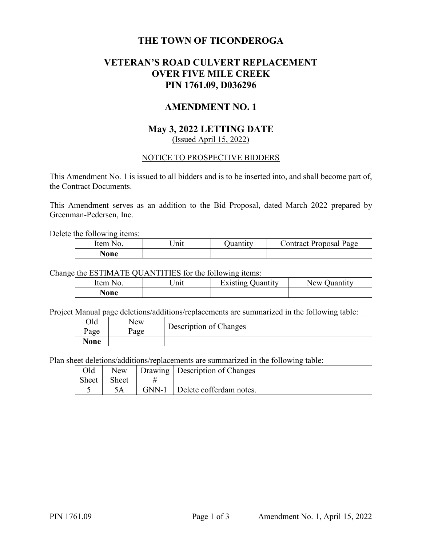# **THE TOWN OF TICONDEROGA**

# **VETERAN'S ROAD CULVERT REPLACEMENT OVER FIVE MILE CREEK PIN 1761.09, D036296**

# **AMENDMENT NO. 1**

# **May 3, 2022 LETTING DATE**  (Issued April 15, 2022)

## NOTICE TO PROSPECTIVE BIDDERS

This Amendment No. 1 is issued to all bidders and is to be inserted into, and shall become part of, the Contract Documents.

This Amendment serves as an addition to the Bid Proposal, dated March 2022 prepared by Greenman-Pedersen, Inc.

Delete the following items:

| Item<br>N <sub>O</sub> | Init | Juantıtv | Jontract Proposal Page |
|------------------------|------|----------|------------------------|
| None                   |      |          |                        |

Change the ESTIMATE QUANTITIES for the following items:

| Item<br>No. | $\ln n$ | Existing (<br>Juantıtv | New<br>Juantıtv |
|-------------|---------|------------------------|-----------------|
| <b>None</b> |         |                        |                 |

Project Manual page deletions/additions/replacements are summarized in the following table:

| Old<br>Page | New<br>Page | Description of Changes |
|-------------|-------------|------------------------|
| <b>None</b> |             |                        |

Plan sheet deletions/additions/replacements are summarized in the following table:

|             | Old   New   Drawing   Description of Changes |
|-------------|----------------------------------------------|
| Sheet Sheet |                                              |
|             | 5A   GNN-1   Delete cofferdam notes.         |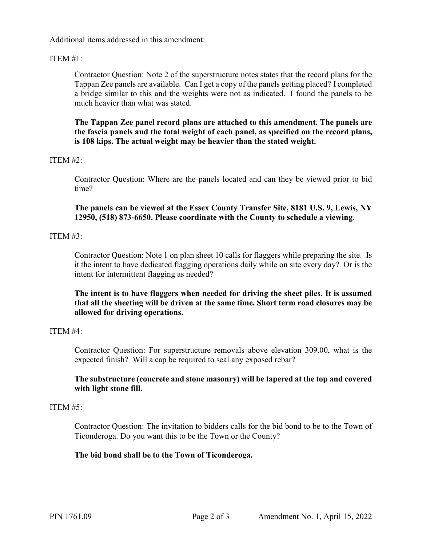Additional items addressed in this amendment:

## ITEM #1:

Contractor Question: Note 2 of the superstructure notes states that the record plans for the Tappan Zee panels are available. Can I get a copy of the panels getting placed? I completed a bridge similar to this and the weights were not as indicated. I found the panels to be much heavier than what was stated.

**The Tappan Zee panel record plans are attached to this amendment. The panels are the fascia panels and the total weight of each panel, as specified on the record plans, is 108 kips. The actual weight may be heavier than the stated weight.** 

### ITEM #2:

Contractor Question: Where are the panels located and can they be viewed prior to bid time?

**The panels can be viewed at the Essex County Transfer Site, 8181 U.S. 9, Lewis, NY 12950, (518) 873-6650. Please coordinate with the County to schedule a viewing.**

### ITEM #3:

Contractor Question: Note 1 on plan sheet 10 calls for flaggers while preparing the site. Is it the intent to have dedicated flagging operations daily while on site every day? Or is the intent for intermittent flagging as needed?

**The intent is to have flaggers when needed for driving the sheet piles. It is assumed that all the sheeting will be driven at the same time. Short term road closures may be allowed for driving operations.** 

### ITEM  $#4:$

Contractor Question: For superstructure removals above elevation 309.00, what is the expected finish? Will a cap be required to seal any exposed rebar?

## **The substructure (concrete and stone masonry) will be tapered at the top and covered with light stone fill.**

### ITEM  $#5:$

Contractor Question: The invitation to bidders calls for the bid bond to be to the Town of Ticonderoga. Do you want this to be the Town or the County?

#### **The bid bond shall be to the Town of Ticonderoga.**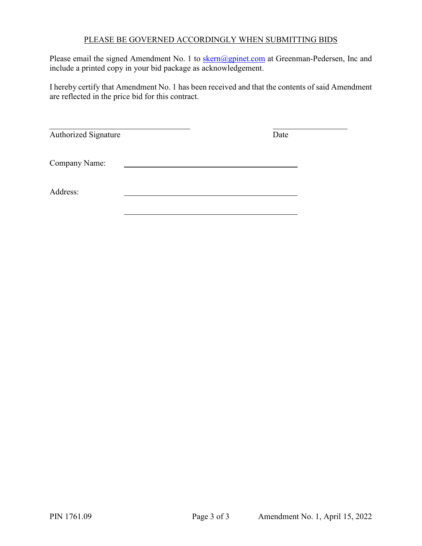# PLEASE BE GOVERNED ACCORDINGLY WHEN SUBMITTING BIDS

Please email the signed Amendment No. 1 to **skern@gpinet.com** at Greenman-Pedersen, Inc and include a printed copy in your bid package as acknowledgement.

I hereby certify that Amendment No. 1 has been received and that the contents of said Amendment are reflected in the price bid for this contract.

| Authorized Signature | Date |  |
|----------------------|------|--|
| Company Name:        |      |  |
| Address:             |      |  |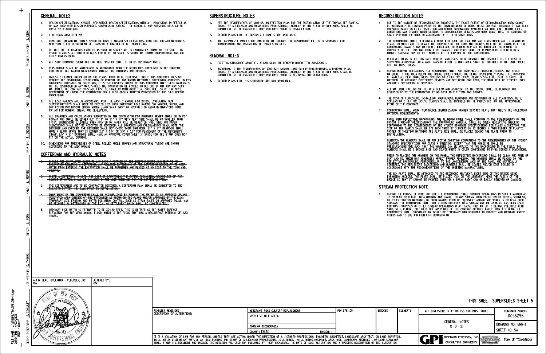#### GENERAL NOTES

#### COFFERDAM AND HYDRAULIC NOTES

## SUPERSTRUCTURE NOTES

- 1. PER THE REQUIREMENTS OF §107-05, AN ERECTION PLAN FOR THE INSTALLATION OF THE TAPPAN ZEE PANELS,<br>SIGNED BY A LICENSED AND REGISTERED PROFESSIONAL ENGINEER IN THE STATE OF NEW YORK, SHALL BE<br>SUBMITTED TO THE ENGINEER THI
- 2. RECORD PLANS FOR THE TAPPAN ZEE PANELS ARE AVAILABLE.
- 3. THE TAPPAN ZEE PANELS ARE OWNED BY THE COUNTY. THE CONTRACTOR WILL BE RESPONSIBLE FOR<br>TRANSPORTING AND INSTALLING THE PANELS ON SITE.

#### REMOVAL NOTES

#### RECONSTRUCTION NOTES

## STREAM PROTECTION NOTE

S. KERN

**MANAGER** 

PROJECT

- COUNTY. <del>1. SHOULD THE CONTRACTOR ELECT TO LAY BACK A PORTION OF THE EXISTING EARTH ADJACENT TO AN<br>EXCAVATION REQUIRING A COFFERDAM, ANY REQUIRED EXTENSIONS OF THE COFFERDAM NECESSARY TO KEEP<br>WATER FROM ENTERING THE EXCAVATION SHA</del>
- 2. WHERE A COFFERDAM IS USED, THE COST OF DEWATERING THE ENTIRE EXCAVATION, REGARDLESS OF THE-<br>-SOURCE OF WATER, SHALL BE INCLUDED IN THE UNIT PRICE BID FOR THE COFFERDAM ITEM.-
- ENGINEER FIFTEEN (15) DAYS PRIOR TO INSTALLATION. 3. THE COFFERDAM(S) ARE TO BE CONTRACTOR DESIGNED. A COFFERDAM PLAN SHALL BE SUBMITTED TO THE
- BE REQUIRED AS DETERMINED BY THE E.I.C. NO SETTLEMENT BASIN SHALL BE CONSTRUCTED. TEMPORARY SOIL EROSION AND WATER POLLUTION CONTROL, SUCH AS STRAW BALES OR APPROVED EQUAL, MAY VEGETATED AREA OUTSIDE OF THE STREAMBED AS SHOWN ON THE PLANS AND/OR APPROVED BY THE E.I.C. 4. DEWATERING OF THE COFFERDAM SHALL BE ACCOMPLISHED BY PUMPING THE WATER TO AN APPROVED UPLAND
- YEARS. 5. ORDINARY HIGH WATER IS ESTIMATED TO BE 304.40 FEET. THIS IS DEFINED AS THE WATER SURFACE<br>ELEVATION FOR THE MEAN ANNUAL FLOOD, WHICH IS THE FLOOD THAT HAS A RECURRENCE INTERVAL OF 2.33

ACCORDANCE WITH THE RECOMMENDATIONS OF THE SHEETING MANUFACTURER. PRIOR TO PLACING THE NUMBERS ON THE PANEL, THE REFLECTIVE BACKGROUND SHALL BE CLEAN AND FREE OF<br>DIRT AND OIL WHICH MAY ADVERSELY AFFECT PROPER ADHESION. THE NUMBERS SHALL BE PLACED ON THE<br>REFLECTIVE BACKGROUND, PERPENDICUL

THE BIN PLATE SHALL BE ATTACHED TO THE BEGINNING ABUTMENT, RIGHT SIDE OF THE BRIDGE USING<br>EXPANSION ANCHORS. THE PLATE SHALL BE PLACED HIGH ON THE ABUTMENT, NEAR THE FASCIA OF THE<br>BRIDGE SO THAT IT CANNOT BE PAINTED OVER V

1. DURING THE COURSE OF CONSTRUCTION, THE CONTRACTOR SHALL CONDUCT OPERATIONS IN SUCH A MANNER AS TO PREVENT OR REDUCE TO A MINIMUM ANY DAMAGE TO ANY STREAM FROM POLLUTION BY DEBRIS, SEDIMENT, OR THE CONTRACTOR SHALL NOT P

MATERIAL REQUIREMENTS: 7. CONTRACTOR SHALL MOUNT NEW BRIDGE IDENTIFICATION NUMBER 2271420 PLATE THAT MEETS THE FOLLOWING

PANEL WITH REFLECTIVE BACKGROUND: THE ALUMINUM PANEL SHALL CONFORM TO THE REQUIREMENTS OF THE<br>NYSDOT STANDARD SPECIFICATIONS. THE BACKGROUND MATERIAL SHALL BE GREEN REFLECTIVE SHEETING<br>CONFORMING TO THE REQUIREMENTS OF THE

NUMBERS: THE NUMBERS SHALL BE REFLECTIVE SHEETING CONFORMING TO THE REQUIREMENTS OF THE NYSDOT<br>STANDARD SPECIFICATIONS FOR CLASS A SHEETING, EXCEPT THAT THE ADHESIVE SHALL BE<br>PRESSURE-SENSITIVE SUCH THAT THE NUMBERS CAN BE

ADEQUATE PROTECTION IS PROVIDED. MATERIAL. IF ADEQUATE PROTECTIVE DEVICES ARE NOT BEING EMPLOYED, THE WORK WILL BE STOPPED UNTIL 4. DURING REMOVAL OPERATIONS, THE CONTRACTOR SHALL NOT DROP WASTE CONCRETE, DEBRIS, AND OTHER<br>MATERIAL TO THE AREA BELOW THE BRIDGE EXCEPT WHERE THE PLANS SPECIFICALLY PERMIT THE DROPPING<br>OF MATERIAL. PLATFORMS, NETS, SCRE

5. ALL MATERIAL FALLING ON THE AREA BELOW AND ADJACENT TO THE BRIDGE SHALL BE REMOVED AND<br>DISPOSED OF BY THE CONTRACTOR AT NO COST TO THE TOWN AND COUNTY.

6. THE COST OF FURNISHING, INSTALLING, MAINTAINING, REMOVING AND DISPOSING OF ALL PLATFORMS, NETS,<br>SCREENS OR OTHER PROTECTIVE DEVICES SHALL BE INCLUDED IN THE PRICES BID FOR THE APPROPRIATE<br>ITEMS OF THE CONTRACT.

MANNER SATISFACTORY TO THE ENGINEER AT THE EXPENSE OF THE CONTRACTOR. 2. THE CONTRACTOR SHALL PERFORM ALL WORK WITH CARE SO THAT ANY MATERIALS WHICH ARE TO REMAIN IN<br>PLACE, OR WHICH ARE TO REMAIN THE PROPERTY OF THE TOWN AND COUNTY, WILL NOT BE DAMAGED. IF THE<br>CONTRACTOR DAMAGES ANY MATERIAL

3. WHENEVER ITEMS IN THE CONTRACT REQUIRE MATERIALS TO BE REMOVED AND DISPOSED OF, THE COST OF<br>SUPPLYING A DISPOSAL AREA AND TRANSPORTATION TO THAT AREA SHALL BE INCLUDED IN THE UNIT PRICES<br>BID FOR THOSE ITEMS.

SHALL PERFORM THE WORK IN ACCORDANCE WITH FIELD CONDITIONS. 1. DUE TO THE NATURE OF RECONSTRUCTION PROJECTS, THE EXACT EXTENT OF RECONSTRUCTION WORK CANNOT<br>BE ACCURATELY DETERMINED PRIOR TO THE COMMENCEMENT OF WORK. THESE CONTRACT DOCUMENTS HAVE BEEN<br>PREPARED BASED ON FIELD INSPECT

- 
- $\frac{1}{2}$  DAYS:  $f'c = 3000$  psi.) OF MAY 2022 (FOR DESIGN PURPOSES, COMPRESSIVE STRENGTH OF CONCRETE FOR SUBSTRUCTURES AT 28 1. DESIGN SPECIFICATIONS: NYSDOT LRFD BRIDGE DESIGN SPECIFICATIONS WITH ALL PROVISIONS IN EFFECT AS
- 2. LIVE LOAD: AASHTO HL-93
- 3. CONSTRUCTION AND MATERIALS SPECIFICATIONS: STANDARD SPECIFICATIONS, CONSTRUCTION AND MATERIALS,<br>NEW YORK STATE DEPARTMENT OF TRANSPORTATION, OFFICE OF ENGINEERING.
- FULLY DIMENSIONED. VISUAL CLARITY. ALL OTHER DETAILS FOR WHICH NO SCALE IS SHOWN ARE DRAWN PROPORTIONAL AND ARE 4. DETAILS ON THE DRAWINGS LABELED AS "NOT TO SCALE" ARE INTENTIONALLY DRAWN NOT TO SCALE FOR
- 5. ALL SHOP DRAWINGS SUBMITTED FOR THIS PROJECT SHALL BE IN US CUSTOMARY UNITS.
- EDITION OF THE AASHTO MAINTENANCE MANUAL FOR ROADWAYS AND BRIDGES. 6. THIS BRIDGE SHALL BE MAINTAINED IN ACCORDANCE WITH THE GUIDELINES CONTAINED IN THE CURRENT
- **PROCEEDING** 7. UNLESS OTHERWISE INDICATED ON THE PLANS, WORK TO BE PERFORMED UNDER THIS CONTRACT DOES NOT<br>REQUIRE THE DISTURBING, DESTRUCTION OR REMOVAL OF ANY KNOWN MATERIALS CONTAINING ASBESTOS. UNLESS<br>OTHERWISE INDICATED ON THE PLA
- RATING FOR MOMENT, SHEAR, AND DEFLECTION. 8. THE LOAD RATINGS ARE IN ACCORDANCE WITH THE AASHTO MANUAL FOR BRIDGE EVALUATION. NEW<br>SUPERSTRUCTURES SHALL MEET OR EXCEED 1.20 LRFR INVENTORY LOAD RATING FOR MOMENT, SHEAR, AND<br>DEFLECTION PER NYSDOT BRIDGE MANUAL, AND S
- FIT ON THE ACTUAL DRAWING. STAMP. 8.5" X 11" DRAWINGS SHALL HAVE AN APPROVAL COVER SHEET IF SPACE FOR THE STAMP DOES NOT 9. ALL DRAWINGS AND CALCULATIONS SUBMITTED BY THE CONTRACTOR FOR ENGINEER REVIEW SHALL BE IN PDF<br>FORMAT AND SHALL BE EITHER 8.5" X 11" OR 11" X 17" WITH TEXT SIZE SHALL BE NO SMALLER THAN<br>1/16". SUBMISSIONS ILLEGIBLE WHEN
- ACCORDING TO THE AISC MANUAL. 10. DIMENSIONS FOR THICKNESSES OF STEEL ROLLED ANGLE SHAPES AND STRUCTURAL TUBING ARE SHOWN
- 
- 
- 
- 
- 
- - INSTALLATION.
	-
	-

| AS-BUILT REVISIONS                                                                                                                                                                                                                                                                                                                                                                                                                                                                                                                                                                  | VETERAN'S ROAD CULVERT REPLACEMENT | PIN 1761.09 | <b>BRIDGES</b> | I CULVERTS | ALL DIMENSIONS IN ft UNLESS OTHERWISE NOTED | <b>CONTRACT NUMBER</b> |  |
|-------------------------------------------------------------------------------------------------------------------------------------------------------------------------------------------------------------------------------------------------------------------------------------------------------------------------------------------------------------------------------------------------------------------------------------------------------------------------------------------------------------------------------------------------------------------------------------|------------------------------------|-------------|----------------|------------|---------------------------------------------|------------------------|--|
| DESCRIPTION OF ALTERATIONS:                                                                                                                                                                                                                                                                                                                                                                                                                                                                                                                                                         | OVER FIVE MILE CREEK               |             |                |            |                                             | D036296                |  |
|                                                                                                                                                                                                                                                                                                                                                                                                                                                                                                                                                                                     | TOWN OF TICONDEROGA                |             |                |            | GENERAL NOTES<br>$(1 \t 0F \t 2)$           | IDRAWING NO. GNN-1     |  |
|                                                                                                                                                                                                                                                                                                                                                                                                                                                                                                                                                                                     | COUNTY: ESSEX<br>REGION: 1         |             |                |            |                                             | SHEET NO.5A            |  |
| IT IS A VIOLATION OF LAW FOR ANY PERSON, UNLESS THEY ARE ACTING UNDER THE DIRECTION OF A LICENSED PROFESSIONAL ENGINEER, ARCHITECT, LANDSCAPE ARCHITECT, OR LAND SURVEYOR,<br>GREENMAN-PEDERSEN, INC.<br>TO ALTER AN ITEM IN ANY WAY. IF AN ITEM BEARING THE STAMP OF A LICENSED PROFESSIONAL IS ALTERED. THE ALTERING ENGINEER, ARCHITECT, LANDSCAPE ARCHITECT, OR LAND SURVEYOR<br>CONSULTING ENGINEERS<br>SHALL STAMP THE DOCUMENT AND INCLUDE THE NOTATION "ALTERED BY" FOLLOWED BY THEIR SIGNATURE. THE DATE OF SUCH ALTERATION. AND A SPECIFIC DESCRIPTION OF THE ALTERATION. |                                    |             |                |            |                                             | TOWN OF TICONDEROGA    |  |

| CHECK<br>8.<br>THE LOAD RATINGS ARE IN ACCORDANCE WITH THE AASHTO MANUAL FOR BRIDGE EVALUATION. NEW<br>SUPERSTRUCTURES SHALL MEET OR EXCEED 1.20 LRFR INVENTORY LOAD RATING FOR MOMENT, SHEAR, AND<br>DEFLECTION PER NYSDOT BRIDGE MANUAL, AND SHALL MEET OR EXCEED 1.00 ASD/LFD INVENTORY LOAD<br>RATING FOR MOMENT, SHEAR, AND DEFLECTION.<br>ALL DRAWINGS AND CALCULATIONS SUBMITTED BY THE CONTRACTOR FOR ENGINEER REVIEW SHALL BE IN PDF<br>FORMAT AND SHALL BE EITHER 8.5" X 11" OR 11" X 17" WITH TEXT SIZE SHALL BE NO SMALLER THAN<br>9.<br>1/16". SUBMISSIONS ILLEGIBLE WHEN PRINTED ON PAPER WILL BE REJECTED. FULL SIZE AND PAPER<br>SUBMISSIONS SHALL NOT BE ACCEPTED OR REVIEWED. ALL DRAWINGS AND CALCULATIONS SHALL NOTE THE<br>CUOCCIO<br>DESIGNER AND CHECKER. THE DESIGNER SHALL NOT CHECK THEIR OWN WORK. 11" X 17" DRAWINGS SHALL<br>HAVE A BLANK SPACE THAT IS EITHER 2.5" X 5.5" OR 3.5" X 3.5" FOR PLACEMENT OF THE REVIEWER'S<br>STAMP, 8.5" X 11" DRAWINGS SHALL HAVE AN APPROVAL COVER SHEET IF SPACE FOR THE STAMP DOES NOT<br>ا ًعا<br>FIT ON THE ACTUAL DRAWING.<br>DRAFTING<br>DIMENSIONS FOR THICKNESSES OF STEEL ROLLED ANGLE SHAPES AND STRUCTURAL TUBING ARE SHOWN<br>10.<br>ACCORDING TO THE AISC MANUAL.<br><b>COFFERDAM AND HYDRAULIC NOTES</b><br>SHOULD THE CONTRACTOR ELECT TO LAY BACK A PORTION OF THE EXISTING EARTH ADJACENT TO AN<br><b>EXCAVATION REQUIRING A COFFERDAM, ANY REQUIRED EXTENSIONS OF THE COFFERDAM NECESSARY TO KEEP</b><br>WATER FROM ENTERING THE EXCAVATION SHALL BE FIRNISHED AND PLACED AT NO COST TO THE TOWN AND<br><del>COUNTY.</del><br><b>B. WEAVER</b><br>WHERE A COFFERDAM IS USED, THE COST OF DEWATERING THE ENTIRE EXCAVATION, REGARDLESS OF THE-<br>-SOURCE OF WATER, SHALL BE INCLUDED IN THE UNIT PRICE BID FOR THE COFFERDAM ITEM.<br>THE COFFERDAM(S) ARE TO BE CONTRACTOR DESIGNED. A COFFERDAM PLAN SHALL BE SUBMITTED TO THE<br>CHECK<br>-ENCINEER FIFTEEN (15) DAYS PRIOR TO INSTALLATION<br>DEWATERING OF THE COFFERDAM SHALL BE ACCOMPLISHED BY PUMPING THE WATER TO AN APPROVED UPLAND<br>-VEGETATED AREA OUTSIDE OF THE STREAMBED AS SHOWN ON THE PLANS AND/OR APPROVED BY THE E.I.C.<br>TEMPORARY SOIL EROSION AND WATER POLLUTION CONTROL, SUCH AS STRAW BALES OR APPROVED EQUAL, MAY<br>BE REQUIRED AS DETERMINED BY THE E.I.C. NO SETTLEMENT BASIN SHALL BE CONSTRUCTED.<br>5.<br>ORDINARY HIGH WATER IS ESTIMATED TO BE 304.40 FEET. THIS IS DEFINED AS THE WATER SURFACE<br>ELEVATION FOR THE MEAN ANNUAL FLOOD, WHICH IS THE FLOOD THAT HAS A RECURRENCE INTERVAL OF 2.33<br>KERN<br>YEARS.<br>ائہ<br>DESIGN<br>D. THOMAS<br>JOB MANAGER<br>AFFIX SEAL: GREENMAN - PEDERSEN, INC<br>ALTERED BY:<br>ON:<br>ON.<br>J. SIMKULET<br><b>AS-BUILT REVISIONS</b><br>VE <sub>1</sub><br>DESCRIPTION OF ALTERATIONS:<br>OVE<br>DESIGN SUPERVISOR<br><b>TO</b><br>COL<br>IT IS A VIOLATION OF LAW FOR ANY PERSON, UNLESS THEY ARE ACTING UNDE<br>TO ALTER AN ITEM IN ANY WAY. IF AN ITEM BEARING THE STAMP OF A LICEN<br>SHALL STAMP THE DOCUMENT AND INCLUDE THE NOTATION "ALTERED BY" FOLL | S. KERN | MATERIALS, THE CONTRACTOR SHALL FIRST BE FAMILIAR WITH INDUSTRIAL CODE RULE 56 OF THE N.Y.S.<br>DEPARTMENT OF LABOR. THE CONTRACTOR SHALL ALSO OBTAIN WRITTEN PERMISSION OF THE E.I.C. BEFORE<br>PROCEEDING. |  |
|-------------------------------------------------------------------------------------------------------------------------------------------------------------------------------------------------------------------------------------------------------------------------------------------------------------------------------------------------------------------------------------------------------------------------------------------------------------------------------------------------------------------------------------------------------------------------------------------------------------------------------------------------------------------------------------------------------------------------------------------------------------------------------------------------------------------------------------------------------------------------------------------------------------------------------------------------------------------------------------------------------------------------------------------------------------------------------------------------------------------------------------------------------------------------------------------------------------------------------------------------------------------------------------------------------------------------------------------------------------------------------------------------------------------------------------------------------------------------------------------------------------------------------------------------------------------------------------------------------------------------------------------------------------------------------------------------------------------------------------------------------------------------------------------------------------------------------------------------------------------------------------------------------------------------------------------------------------------------------------------------------------------------------------------------------------------------------------------------------------------------------------------------------------------------------------------------------------------------------------------------------------------------------------------------------------------------------------------------------------------------------------------------------------------------------------------------------------------------------------------------------------------------------------------------------------------------------------------------------------------------------------------------------------------------------------------------------------------------------------------------------------------------------------------------------------------------------------------------------------------------------------------------------------------------------------------------------------------------------------------------------------------------------------------------------------------------------------|---------|--------------------------------------------------------------------------------------------------------------------------------------------------------------------------------------------------------------|--|
|                                                                                                                                                                                                                                                                                                                                                                                                                                                                                                                                                                                                                                                                                                                                                                                                                                                                                                                                                                                                                                                                                                                                                                                                                                                                                                                                                                                                                                                                                                                                                                                                                                                                                                                                                                                                                                                                                                                                                                                                                                                                                                                                                                                                                                                                                                                                                                                                                                                                                                                                                                                                                                                                                                                                                                                                                                                                                                                                                                                                                                                                                     |         |                                                                                                                                                                                                              |  |
|                                                                                                                                                                                                                                                                                                                                                                                                                                                                                                                                                                                                                                                                                                                                                                                                                                                                                                                                                                                                                                                                                                                                                                                                                                                                                                                                                                                                                                                                                                                                                                                                                                                                                                                                                                                                                                                                                                                                                                                                                                                                                                                                                                                                                                                                                                                                                                                                                                                                                                                                                                                                                                                                                                                                                                                                                                                                                                                                                                                                                                                                                     |         |                                                                                                                                                                                                              |  |
|                                                                                                                                                                                                                                                                                                                                                                                                                                                                                                                                                                                                                                                                                                                                                                                                                                                                                                                                                                                                                                                                                                                                                                                                                                                                                                                                                                                                                                                                                                                                                                                                                                                                                                                                                                                                                                                                                                                                                                                                                                                                                                                                                                                                                                                                                                                                                                                                                                                                                                                                                                                                                                                                                                                                                                                                                                                                                                                                                                                                                                                                                     |         |                                                                                                                                                                                                              |  |
|                                                                                                                                                                                                                                                                                                                                                                                                                                                                                                                                                                                                                                                                                                                                                                                                                                                                                                                                                                                                                                                                                                                                                                                                                                                                                                                                                                                                                                                                                                                                                                                                                                                                                                                                                                                                                                                                                                                                                                                                                                                                                                                                                                                                                                                                                                                                                                                                                                                                                                                                                                                                                                                                                                                                                                                                                                                                                                                                                                                                                                                                                     |         |                                                                                                                                                                                                              |  |
|                                                                                                                                                                                                                                                                                                                                                                                                                                                                                                                                                                                                                                                                                                                                                                                                                                                                                                                                                                                                                                                                                                                                                                                                                                                                                                                                                                                                                                                                                                                                                                                                                                                                                                                                                                                                                                                                                                                                                                                                                                                                                                                                                                                                                                                                                                                                                                                                                                                                                                                                                                                                                                                                                                                                                                                                                                                                                                                                                                                                                                                                                     |         |                                                                                                                                                                                                              |  |
|                                                                                                                                                                                                                                                                                                                                                                                                                                                                                                                                                                                                                                                                                                                                                                                                                                                                                                                                                                                                                                                                                                                                                                                                                                                                                                                                                                                                                                                                                                                                                                                                                                                                                                                                                                                                                                                                                                                                                                                                                                                                                                                                                                                                                                                                                                                                                                                                                                                                                                                                                                                                                                                                                                                                                                                                                                                                                                                                                                                                                                                                                     |         |                                                                                                                                                                                                              |  |
|                                                                                                                                                                                                                                                                                                                                                                                                                                                                                                                                                                                                                                                                                                                                                                                                                                                                                                                                                                                                                                                                                                                                                                                                                                                                                                                                                                                                                                                                                                                                                                                                                                                                                                                                                                                                                                                                                                                                                                                                                                                                                                                                                                                                                                                                                                                                                                                                                                                                                                                                                                                                                                                                                                                                                                                                                                                                                                                                                                                                                                                                                     |         |                                                                                                                                                                                                              |  |
|                                                                                                                                                                                                                                                                                                                                                                                                                                                                                                                                                                                                                                                                                                                                                                                                                                                                                                                                                                                                                                                                                                                                                                                                                                                                                                                                                                                                                                                                                                                                                                                                                                                                                                                                                                                                                                                                                                                                                                                                                                                                                                                                                                                                                                                                                                                                                                                                                                                                                                                                                                                                                                                                                                                                                                                                                                                                                                                                                                                                                                                                                     |         |                                                                                                                                                                                                              |  |
|                                                                                                                                                                                                                                                                                                                                                                                                                                                                                                                                                                                                                                                                                                                                                                                                                                                                                                                                                                                                                                                                                                                                                                                                                                                                                                                                                                                                                                                                                                                                                                                                                                                                                                                                                                                                                                                                                                                                                                                                                                                                                                                                                                                                                                                                                                                                                                                                                                                                                                                                                                                                                                                                                                                                                                                                                                                                                                                                                                                                                                                                                     |         |                                                                                                                                                                                                              |  |
|                                                                                                                                                                                                                                                                                                                                                                                                                                                                                                                                                                                                                                                                                                                                                                                                                                                                                                                                                                                                                                                                                                                                                                                                                                                                                                                                                                                                                                                                                                                                                                                                                                                                                                                                                                                                                                                                                                                                                                                                                                                                                                                                                                                                                                                                                                                                                                                                                                                                                                                                                                                                                                                                                                                                                                                                                                                                                                                                                                                                                                                                                     |         |                                                                                                                                                                                                              |  |
|                                                                                                                                                                                                                                                                                                                                                                                                                                                                                                                                                                                                                                                                                                                                                                                                                                                                                                                                                                                                                                                                                                                                                                                                                                                                                                                                                                                                                                                                                                                                                                                                                                                                                                                                                                                                                                                                                                                                                                                                                                                                                                                                                                                                                                                                                                                                                                                                                                                                                                                                                                                                                                                                                                                                                                                                                                                                                                                                                                                                                                                                                     |         |                                                                                                                                                                                                              |  |
|                                                                                                                                                                                                                                                                                                                                                                                                                                                                                                                                                                                                                                                                                                                                                                                                                                                                                                                                                                                                                                                                                                                                                                                                                                                                                                                                                                                                                                                                                                                                                                                                                                                                                                                                                                                                                                                                                                                                                                                                                                                                                                                                                                                                                                                                                                                                                                                                                                                                                                                                                                                                                                                                                                                                                                                                                                                                                                                                                                                                                                                                                     |         |                                                                                                                                                                                                              |  |
|                                                                                                                                                                                                                                                                                                                                                                                                                                                                                                                                                                                                                                                                                                                                                                                                                                                                                                                                                                                                                                                                                                                                                                                                                                                                                                                                                                                                                                                                                                                                                                                                                                                                                                                                                                                                                                                                                                                                                                                                                                                                                                                                                                                                                                                                                                                                                                                                                                                                                                                                                                                                                                                                                                                                                                                                                                                                                                                                                                                                                                                                                     |         |                                                                                                                                                                                                              |  |
|                                                                                                                                                                                                                                                                                                                                                                                                                                                                                                                                                                                                                                                                                                                                                                                                                                                                                                                                                                                                                                                                                                                                                                                                                                                                                                                                                                                                                                                                                                                                                                                                                                                                                                                                                                                                                                                                                                                                                                                                                                                                                                                                                                                                                                                                                                                                                                                                                                                                                                                                                                                                                                                                                                                                                                                                                                                                                                                                                                                                                                                                                     |         |                                                                                                                                                                                                              |  |
|                                                                                                                                                                                                                                                                                                                                                                                                                                                                                                                                                                                                                                                                                                                                                                                                                                                                                                                                                                                                                                                                                                                                                                                                                                                                                                                                                                                                                                                                                                                                                                                                                                                                                                                                                                                                                                                                                                                                                                                                                                                                                                                                                                                                                                                                                                                                                                                                                                                                                                                                                                                                                                                                                                                                                                                                                                                                                                                                                                                                                                                                                     |         |                                                                                                                                                                                                              |  |
|                                                                                                                                                                                                                                                                                                                                                                                                                                                                                                                                                                                                                                                                                                                                                                                                                                                                                                                                                                                                                                                                                                                                                                                                                                                                                                                                                                                                                                                                                                                                                                                                                                                                                                                                                                                                                                                                                                                                                                                                                                                                                                                                                                                                                                                                                                                                                                                                                                                                                                                                                                                                                                                                                                                                                                                                                                                                                                                                                                                                                                                                                     |         |                                                                                                                                                                                                              |  |
|                                                                                                                                                                                                                                                                                                                                                                                                                                                                                                                                                                                                                                                                                                                                                                                                                                                                                                                                                                                                                                                                                                                                                                                                                                                                                                                                                                                                                                                                                                                                                                                                                                                                                                                                                                                                                                                                                                                                                                                                                                                                                                                                                                                                                                                                                                                                                                                                                                                                                                                                                                                                                                                                                                                                                                                                                                                                                                                                                                                                                                                                                     |         |                                                                                                                                                                                                              |  |
|                                                                                                                                                                                                                                                                                                                                                                                                                                                                                                                                                                                                                                                                                                                                                                                                                                                                                                                                                                                                                                                                                                                                                                                                                                                                                                                                                                                                                                                                                                                                                                                                                                                                                                                                                                                                                                                                                                                                                                                                                                                                                                                                                                                                                                                                                                                                                                                                                                                                                                                                                                                                                                                                                                                                                                                                                                                                                                                                                                                                                                                                                     |         |                                                                                                                                                                                                              |  |

- 1. EXISTING STRUCTURE ABOVE EL. 311.50 SHALL BE REMOVED UNDER ITEM 202.120001.
- SIGNED BY A LICENSED AND REGISTERED PROFESSIONAL ENGINEER IN THE STATE OF NEW YORK SHALL BE<br>SUBMITTED TO THE ENGINEER THIRTY (30) DAYS PRIOR TO BEGINNING THE DEMOLITION. 2. ACCORDING TO THE REQUIREMENTS OF §202-3.01 GENERAL AND SAFETY REQUIREMENTS, A REMOVAL PLAN,
- 3. RECORD PLANS FOR THIS STRUCTURE ARE NOT AVAILABLE.

#### THIS SHEET SUPERSEDES SHEET 5

PROJECT MANAGER